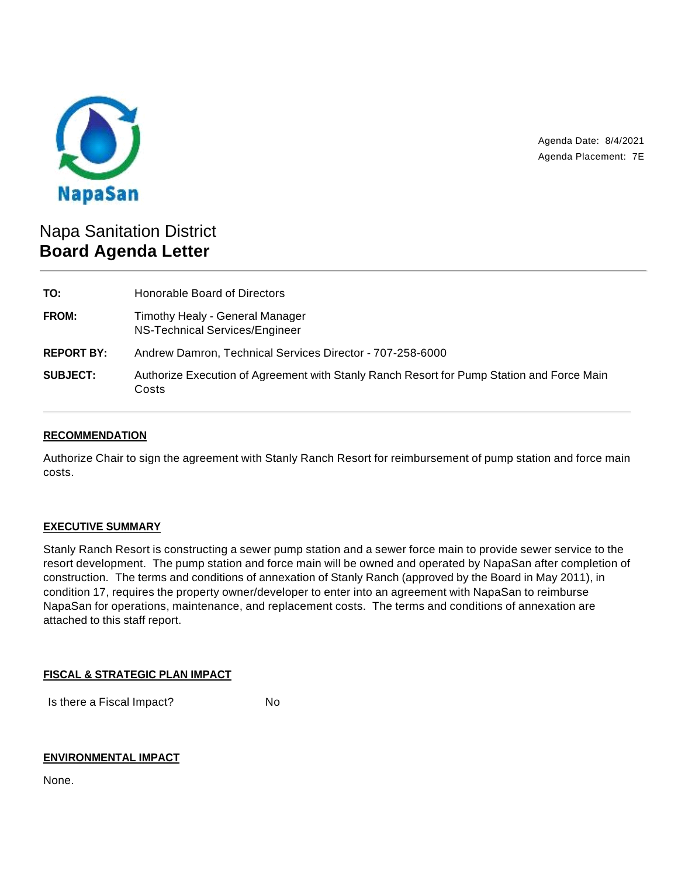

Agenda Date: 8/4/2021 Agenda Placement: 7E

# Napa Sanitation District **Board Agenda Letter**

| TO:               | Honorable Board of Directors                                                                       |
|-------------------|----------------------------------------------------------------------------------------------------|
| FROM:             | Timothy Healy - General Manager<br>NS-Technical Services/Engineer                                  |
| <b>REPORT BY:</b> | Andrew Damron, Technical Services Director - 707-258-6000                                          |
| <b>SUBJECT:</b>   | Authorize Execution of Agreement with Stanly Ranch Resort for Pump Station and Force Main<br>Costs |

## **RECOMMENDATION**

Authorize Chair to sign the agreement with Stanly Ranch Resort for reimbursement of pump station and force main costs.

#### **EXECUTIVE SUMMARY**

Stanly Ranch Resort is constructing a sewer pump station and a sewer force main to provide sewer service to the resort development. The pump station and force main will be owned and operated by NapaSan after completion of construction. The terms and conditions of annexation of Stanly Ranch (approved by the Board in May 2011), in condition 17, requires the property owner/developer to enter into an agreement with NapaSan to reimburse NapaSan for operations, maintenance, and replacement costs. The terms and conditions of annexation are attached to this staff report.

#### **FISCAL & STRATEGIC PLAN IMPACT**

Is there a Fiscal Impact? No

#### **ENVIRONMENTAL IMPACT**

None.